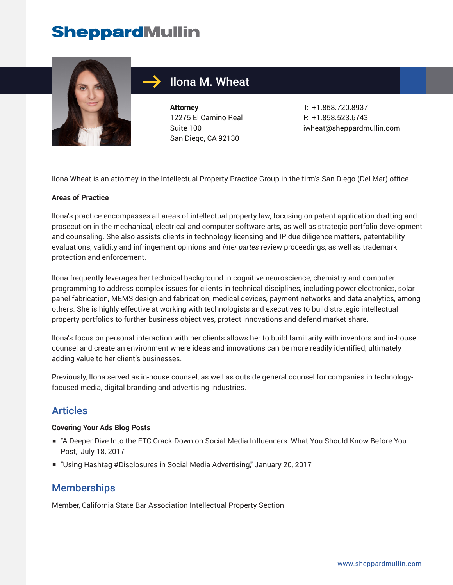# **SheppardMullin**



# Ilona M. Wheat

**Attorney** 12275 El Camino Real Suite 100 San Diego, CA 92130

T: +1.858.720.8937 F: +1.858.523.6743 iwheat@sheppardmullin.com

Ilona Wheat is an attorney in the Intellectual Property Practice Group in the firm's San Diego (Del Mar) office.

#### **Areas of Practice**

Ilona's practice encompasses all areas of intellectual property law, focusing on patent application drafting and prosecution in the mechanical, electrical and computer software arts, as well as strategic portfolio development and counseling. She also assists clients in technology licensing and IP due diligence matters, patentability evaluations, validity and infringement opinions and *inter partes* review proceedings, as well as trademark protection and enforcement.

Ilona frequently leverages her technical background in cognitive neuroscience, chemistry and computer programming to address complex issues for clients in technical disciplines, including power electronics, solar panel fabrication, MEMS design and fabrication, medical devices, payment networks and data analytics, among others. She is highly effective at working with technologists and executives to build strategic intellectual property portfolios to further business objectives, protect innovations and defend market share.

Ilona's focus on personal interaction with her clients allows her to build familiarity with inventors and in-house counsel and create an environment where ideas and innovations can be more readily identified, ultimately adding value to her client's businesses.

Previously, Ilona served as in-house counsel, as well as outside general counsel for companies in technologyfocused media, digital branding and advertising industries.

### Articles

#### **Covering Your Ads Blog Posts**

- "A Deeper Dive Into the FTC Crack-Down on Social Media Influencers: What You Should Know Before You Post," July 18, 2017
- "Using Hashtag #Disclosures in Social Media Advertising," January 20, 2017

#### **Memberships**

Member, California State Bar Association Intellectual Property Section